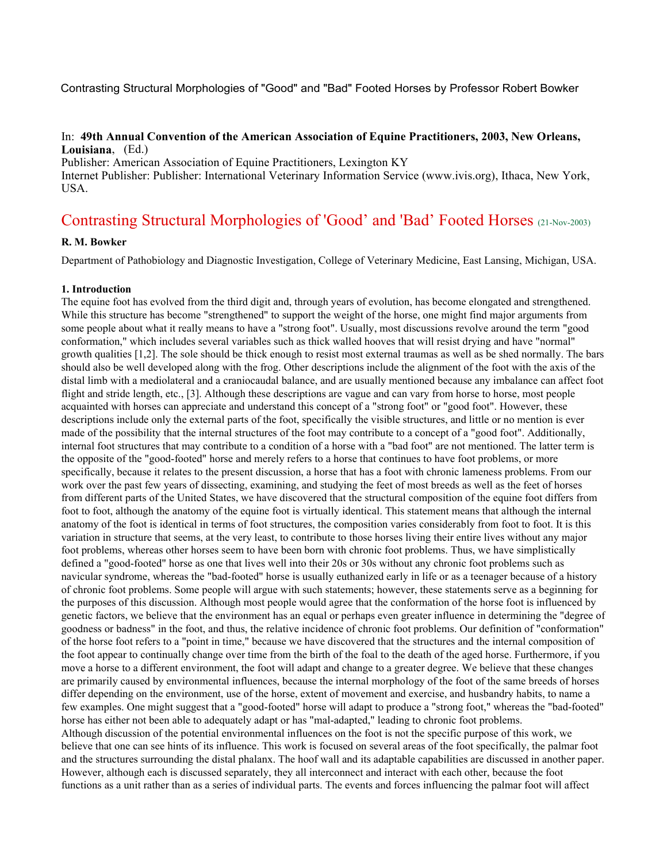Contrasting Structural Morphologies of "Good" and "Bad" Footed Horses by Professor Robert Bowker

### In: **49th Annual Convention of the American Association of Equine Practitioners, 2003, New Orleans, Louisiana**, (Ed.)

Publisher: American Association of Equine Practitioners, Lexington KY Internet Publisher: Publisher: International Veterinary Information Service (www.ivis.org), Ithaca, New York, USA.

# Contrasting Structural Morphologies of 'Good' and 'Bad' Footed Horses (21-Nov-2003)

# **R. M. Bowker**

Department of Pathobiology and Diagnostic Investigation, College of Veterinary Medicine, East Lansing, Michigan, USA.

#### **1. Introduction**

The equine foot has evolved from the third digit and, through years of evolution, has become elongated and strengthened. While this structure has become "strengthened" to support the weight of the horse, one might find major arguments from some people about what it really means to have a "strong foot". Usually, most discussions revolve around the term "good conformation," which includes several variables such as thick walled hooves that will resist drying and have "normal" growth qualities [1,2]. The sole should be thick enough to resist most external traumas as well as be shed normally. The bars should also be well developed along with the frog. Other descriptions include the alignment of the foot with the axis of the distal limb with a mediolateral and a craniocaudal balance, and are usually mentioned because any imbalance can affect foot flight and stride length, etc., [3]. Although these descriptions are vague and can vary from horse to horse, most people acquainted with horses can appreciate and understand this concept of a "strong foot" or "good foot". However, these descriptions include only the external parts of the foot, specifically the visible structures, and little or no mention is ever made of the possibility that the internal structures of the foot may contribute to a concept of a "good foot". Additionally, internal foot structures that may contribute to a condition of a horse with a "bad foot" are not mentioned. The latter term is the opposite of the "good-footed" horse and merely refers to a horse that continues to have foot problems, or more specifically, because it relates to the present discussion, a horse that has a foot with chronic lameness problems. From our work over the past few years of dissecting, examining, and studying the feet of most breeds as well as the feet of horses from different parts of the United States, we have discovered that the structural composition of the equine foot differs from foot to foot, although the anatomy of the equine foot is virtually identical. This statement means that although the internal anatomy of the foot is identical in terms of foot structures, the composition varies considerably from foot to foot. It is this variation in structure that seems, at the very least, to contribute to those horses living their entire lives without any major foot problems, whereas other horses seem to have been born with chronic foot problems. Thus, we have simplistically defined a "good-footed" horse as one that lives well into their 20s or 30s without any chronic foot problems such as navicular syndrome, whereas the "bad-footed" horse is usually euthanized early in life or as a teenager because of a history of chronic foot problems. Some people will argue with such statements; however, these statements serve as a beginning for the purposes of this discussion. Although most people would agree that the conformation of the horse foot is influenced by genetic factors, we believe that the environment has an equal or perhaps even greater influence in determining the "degree of goodness or badness" in the foot, and thus, the relative incidence of chronic foot problems. Our definition of "conformation" of the horse foot refers to a "point in time," because we have discovered that the structures and the internal composition of the foot appear to continually change over time from the birth of the foal to the death of the aged horse. Furthermore, if you move a horse to a different environment, the foot will adapt and change to a greater degree. We believe that these changes are primarily caused by environmental influences, because the internal morphology of the foot of the same breeds of horses differ depending on the environment, use of the horse, extent of movement and exercise, and husbandry habits, to name a few examples. One might suggest that a "good-footed" horse will adapt to produce a "strong foot," whereas the "bad-footed" horse has either not been able to adequately adapt or has "mal-adapted," leading to chronic foot problems. Although discussion of the potential environmental influences on the foot is not the specific purpose of this work, we believe that one can see hints of its influence. This work is focused on several areas of the foot specifically, the palmar foot and the structures surrounding the distal phalanx. The hoof wall and its adaptable capabilities are discussed in another paper. However, although each is discussed separately, they all interconnect and interact with each other, because the foot functions as a unit rather than as a series of individual parts. The events and forces influencing the palmar foot will affect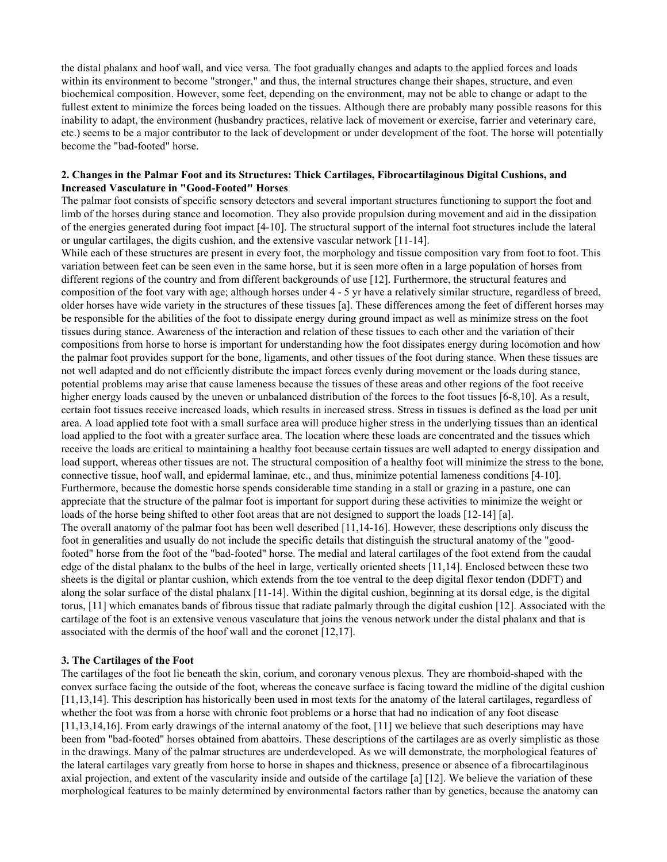the distal phalanx and hoof wall, and vice versa. The foot gradually changes and adapts to the applied forces and loads within its environment to become "stronger," and thus, the internal structures change their shapes, structure, and even biochemical composition. However, some feet, depending on the environment, may not be able to change or adapt to the fullest extent to minimize the forces being loaded on the tissues. Although there are probably many possible reasons for this inability to adapt, the environment (husbandry practices, relative lack of movement or exercise, farrier and veterinary care, etc.) seems to be a major contributor to the lack of development or under development of the foot. The horse will potentially become the "bad-footed" horse.

#### **2. Changes in the Palmar Foot and its Structures: Thick Cartilages, Fibrocartilaginous Digital Cushions, and Increased Vasculature in "Good-Footed" Horses**

The palmar foot consists of specific sensory detectors and several important structures functioning to support the foot and limb of the horses during stance and locomotion. They also provide propulsion during movement and aid in the dissipation of the energies generated during foot impact [4-10]. The structural support of the internal foot structures include the lateral or ungular cartilages, the digits cushion, and the extensive vascular network [11-14].

While each of these structures are present in every foot, the morphology and tissue composition vary from foot to foot. This variation between feet can be seen even in the same horse, but it is seen more often in a large population of horses from different regions of the country and from different backgrounds of use [12]. Furthermore, the structural features and composition of the foot vary with age; although horses under 4 - 5 yr have a relatively similar structure, regardless of breed, older horses have wide variety in the structures of these tissues [a]. These differences among the feet of different horses may be responsible for the abilities of the foot to dissipate energy during ground impact as well as minimize stress on the foot tissues during stance. Awareness of the interaction and relation of these tissues to each other and the variation of their compositions from horse to horse is important for understanding how the foot dissipates energy during locomotion and how the palmar foot provides support for the bone, ligaments, and other tissues of the foot during stance. When these tissues are not well adapted and do not efficiently distribute the impact forces evenly during movement or the loads during stance, potential problems may arise that cause lameness because the tissues of these areas and other regions of the foot receive higher energy loads caused by the uneven or unbalanced distribution of the forces to the foot tissues [6-8,10]. As a result, certain foot tissues receive increased loads, which results in increased stress. Stress in tissues is defined as the load per unit area. A load applied tote foot with a small surface area will produce higher stress in the underlying tissues than an identical load applied to the foot with a greater surface area. The location where these loads are concentrated and the tissues which receive the loads are critical to maintaining a healthy foot because certain tissues are well adapted to energy dissipation and load support, whereas other tissues are not. The structural composition of a healthy foot will minimize the stress to the bone, connective tissue, hoof wall, and epidermal laminae, etc., and thus, minimize potential lameness conditions [4-10]. Furthermore, because the domestic horse spends considerable time standing in a stall or grazing in a pasture, one can appreciate that the structure of the palmar foot is important for support during these activities to minimize the weight or loads of the horse being shifted to other foot areas that are not designed to support the loads [12-14] [a]. The overall anatomy of the palmar foot has been well described [11,14-16]. However, these descriptions only discuss the foot in generalities and usually do not include the specific details that distinguish the structural anatomy of the "goodfooted" horse from the foot of the "bad-footed" horse. The medial and lateral cartilages of the foot extend from the caudal edge of the distal phalanx to the bulbs of the heel in large, vertically oriented sheets [11,14]. Enclosed between these two sheets is the digital or plantar cushion, which extends from the toe ventral to the deep digital flexor tendon (DDFT) and along the solar surface of the distal phalanx [11-14]. Within the digital cushion, beginning at its dorsal edge, is the digital torus, [11] which emanates bands of fibrous tissue that radiate palmarly through the digital cushion [12]. Associated with the cartilage of the foot is an extensive venous vasculature that joins the venous network under the distal phalanx and that is associated with the dermis of the hoof wall and the coronet [12,17].

#### **3. The Cartilages of the Foot**

The cartilages of the foot lie beneath the skin, corium, and coronary venous plexus. They are rhomboid-shaped with the convex surface facing the outside of the foot, whereas the concave surface is facing toward the midline of the digital cushion [11,13,14]. This description has historically been used in most texts for the anatomy of the lateral cartilages, regardless of whether the foot was from a horse with chronic foot problems or a horse that had no indication of any foot disease [11,13,14,16]. From early drawings of the internal anatomy of the foot, [11] we believe that such descriptions may have been from "bad-footed" horses obtained from abattoirs. These descriptions of the cartilages are as overly simplistic as those in the drawings. Many of the palmar structures are underdeveloped. As we will demonstrate, the morphological features of the lateral cartilages vary greatly from horse to horse in shapes and thickness, presence or absence of a fibrocartilaginous axial projection, and extent of the vascularity inside and outside of the cartilage [a] [12]. We believe the variation of these morphological features to be mainly determined by environmental factors rather than by genetics, because the anatomy can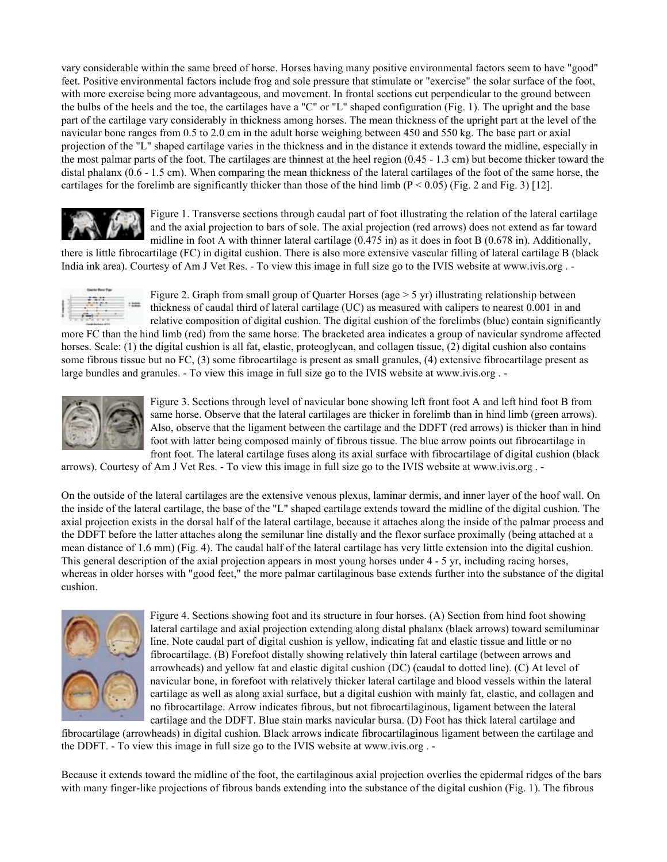vary considerable within the same breed of horse. Horses having many positive environmental factors seem to have "good" feet. Positive environmental factors include frog and sole pressure that stimulate or "exercise" the solar surface of the foot, with more exercise being more advantageous, and movement. In frontal sections cut perpendicular to the ground between the bulbs of the heels and the toe, the cartilages have a "C" or "L" shaped configuration (Fig. 1). The upright and the base part of the cartilage vary considerably in thickness among horses. The mean thickness of the upright part at the level of the navicular bone ranges from 0.5 to 2.0 cm in the adult horse weighing between 450 and 550 kg. The base part or axial projection of the "L" shaped cartilage varies in the thickness and in the distance it extends toward the midline, especially in the most palmar parts of the foot. The cartilages are thinnest at the heel region (0.45 - 1.3 cm) but become thicker toward the distal phalanx (0.6 - 1.5 cm). When comparing the mean thickness of the lateral cartilages of the foot of the same horse, the cartilages for the forelimb are significantly thicker than those of the hind limb  $(P < 0.05)$  (Fig. 2 and Fig. 3) [12].



Figure 1. Transverse sections through caudal part of foot illustrating the relation of the lateral cartilage and the axial projection to bars of sole. The axial projection (red arrows) does not extend as far toward midline in foot A with thinner lateral cartilage (0.475 in) as it does in foot B (0.678 in). Additionally,

there is little fibrocartilage (FC) in digital cushion. There is also more extensive vascular filling of lateral cartilage B (black India ink area). Courtesy of Am J Vet Res. - To view this image in full size go to the IVIS website at www.ivis.org . -



Figure 2. Graph from small group of Quarter Horses (age  $> 5$  yr) illustrating relationship between thickness of caudal third of lateral cartilage (UC) as measured with calipers to nearest 0.001 in and relative composition of digital cushion. The digital cushion of the forelimbs (blue) contain significantly

more FC than the hind limb (red) from the same horse. The bracketed area indicates a group of navicular syndrome affected horses. Scale: (1) the digital cushion is all fat, elastic, proteoglycan, and collagen tissue, (2) digital cushion also contains some fibrous tissue but no FC, (3) some fibrocartilage is present as small granules, (4) extensive fibrocartilage present as large bundles and granules. - To view this image in full size go to the IVIS website at www.ivis.org . -



Figure 3. Sections through level of navicular bone showing left front foot A and left hind foot B from same horse. Observe that the lateral cartilages are thicker in forelimb than in hind limb (green arrows). Also, observe that the ligament between the cartilage and the DDFT (red arrows) is thicker than in hind foot with latter being composed mainly of fibrous tissue. The blue arrow points out fibrocartilage in front foot. The lateral cartilage fuses along its axial surface with fibrocartilage of digital cushion (black

arrows). Courtesy of Am J Vet Res. - To view this image in full size go to the IVIS website at www.ivis.org . -

On the outside of the lateral cartilages are the extensive venous plexus, laminar dermis, and inner layer of the hoof wall. On the inside of the lateral cartilage, the base of the "L" shaped cartilage extends toward the midline of the digital cushion. The axial projection exists in the dorsal half of the lateral cartilage, because it attaches along the inside of the palmar process and the DDFT before the latter attaches along the semilunar line distally and the flexor surface proximally (being attached at a mean distance of 1.6 mm) (Fig. 4). The caudal half of the lateral cartilage has very little extension into the digital cushion. This general description of the axial projection appears in most young horses under 4 - 5 yr, including racing horses, whereas in older horses with "good feet," the more palmar cartilaginous base extends further into the substance of the digital cushion.



Figure 4. Sections showing foot and its structure in four horses. (A) Section from hind foot showing lateral cartilage and axial projection extending along distal phalanx (black arrows) toward semiluminar line. Note caudal part of digital cushion is yellow, indicating fat and elastic tissue and little or no fibrocartilage. (B) Forefoot distally showing relatively thin lateral cartilage (between arrows and arrowheads) and yellow fat and elastic digital cushion (DC) (caudal to dotted line). (C) At level of navicular bone, in forefoot with relatively thicker lateral cartilage and blood vessels within the lateral cartilage as well as along axial surface, but a digital cushion with mainly fat, elastic, and collagen and no fibrocartilage. Arrow indicates fibrous, but not fibrocartilaginous, ligament between the lateral cartilage and the DDFT. Blue stain marks navicular bursa. (D) Foot has thick lateral cartilage and

fibrocartilage (arrowheads) in digital cushion. Black arrows indicate fibrocartilaginous ligament between the cartilage and the DDFT. - To view this image in full size go to the IVIS website at www.ivis.org . -

Because it extends toward the midline of the foot, the cartilaginous axial projection overlies the epidermal ridges of the bars with many finger-like projections of fibrous bands extending into the substance of the digital cushion (Fig. 1). The fibrous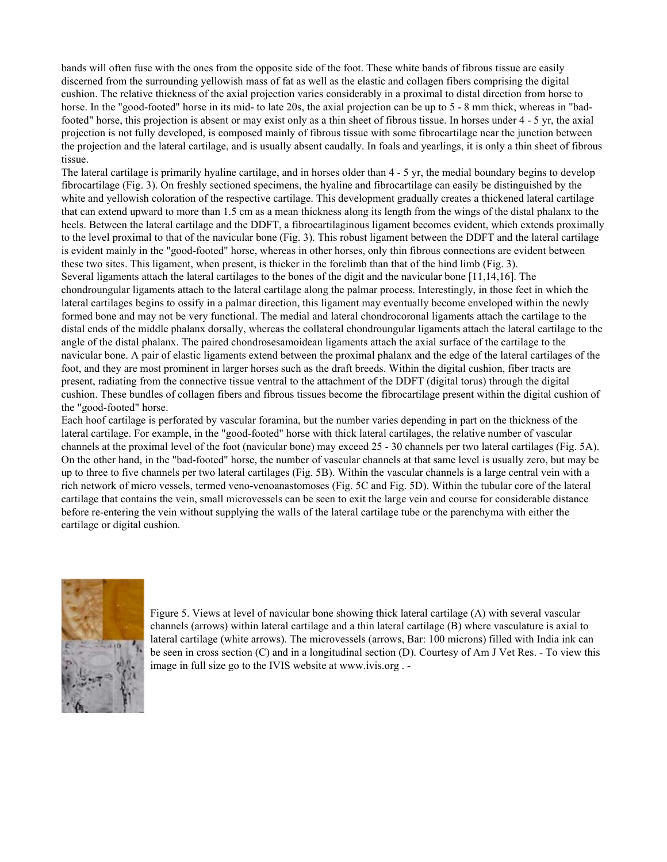bands will often fuse with the ones from the opposite side of the foot. These white bands of fibrous tissue are easily discerned from the surrounding yellowish mass of fat as well as the elastic and collagen fibers comprising the digital cushion. The relative thickness of the axial projection varies considerably in a proximal to distal direction from horse to horse. In the "good-footed" horse in its mid- to late 20s, the axial projection can be up to 5 - 8 mm thick, whereas in "badfooted" horse, this projection is absent or may exist only as a thin sheet of fibrous tissue. In horses under 4 - 5 yr, the axial projection is not fully developed, is composed mainly of fibrous tissue with some fibrocartilage near the junction between the projection and the lateral cartilage, and is usually absent caudally. In foals and yearlings, it is only a thin sheet of fibrous tissue.

The lateral cartilage is primarily hyaline cartilage, and in horses older than 4 - 5 yr, the medial boundary begins to develop fibrocartilage (Fig. 3). On freshly sectioned specimens, the hyaline and fibrocartilage can easily be distinguished by the white and yellowish coloration of the respective cartilage. This development gradually creates a thickened lateral cartilage that can extend upward to more than 1.5 cm as a mean thickness along its length from the wings of the distal phalanx to the heels. Between the lateral cartilage and the DDFT, a fibrocartilaginous ligament becomes evident, which extends proximally to the level proximal to that of the navicular bone (Fig. 3). This robust ligament between the DDFT and the lateral cartilage is evident mainly in the "good-footed" horse, whereas in other horses, only thin fibrous connections are evident between these two sites. This ligament, when present, is thicker in the forelimb than that of the hind limb (Fig. 3). Several ligaments attach the lateral cartilages to the bones of the digit and the navicular bone [11,14,16]. The chondroungular ligaments attach to the lateral cartilage along the palmar process. Interestingly, in those feet in which the lateral cartilages begins to ossify in a palmar direction, this ligament may eventually become enveloped within the newly formed bone and may not be very functional. The medial and lateral chondrocoronal ligaments attach the cartilage to the distal ends of the middle phalanx dorsally, whereas the collateral chondroungular ligaments attach the lateral cartilage to the angle of the distal phalanx. The paired chondrosesamoidean ligaments attach the axial surface of the cartilage to the navicular bone. A pair of elastic ligaments extend between the proximal phalanx and the edge of the lateral cartilages of the foot, and they are most prominent in larger horses such as the draft breeds. Within the digital cushion, fiber tracts are present, radiating from the connective tissue ventral to the attachment of the DDFT (digital torus) through the digital cushion. These bundles of collagen fibers and fibrous tissues become the fibrocartilage present within the digital cushion of the "good-footed" horse.

Each hoof cartilage is perforated by vascular foramina, but the number varies depending in part on the thickness of the lateral cartilage. For example, in the "good-footed" horse with thick lateral cartilages, the relative number of vascular channels at the proximal level of the foot (navicular bone) may exceed 25 - 30 channels per two lateral cartilages (Fig. 5A). On the other hand, in the "bad-footed" horse, the number of vascular channels at that same level is usually zero, but may be up to three to five channels per two lateral cartilages (Fig. 5B). Within the vascular channels is a large central vein with a rich network of micro vessels, termed veno-venoanastomoses (Fig. 5C and Fig. 5D). Within the tubular core of the lateral cartilage that contains the vein, small microvessels can be seen to exit the large vein and course for considerable distance before re-entering the vein without supplying the walls of the lateral cartilage tube or the parenchyma with either the cartilage or digital cushion.



Figure 5. Views at level of navicular bone showing thick lateral cartilage (A) with several vascular channels (arrows) within lateral cartilage and a thin lateral cartilage (B) where vasculature is axial to lateral cartilage (white arrows). The microvessels (arrows, Bar: 100 microns) filled with India ink can be seen in cross section (C) and in a longitudinal section (D). Courtesy of Am J Vet Res. - To view this image in full size go to the IVIS website at www.ivis.org . -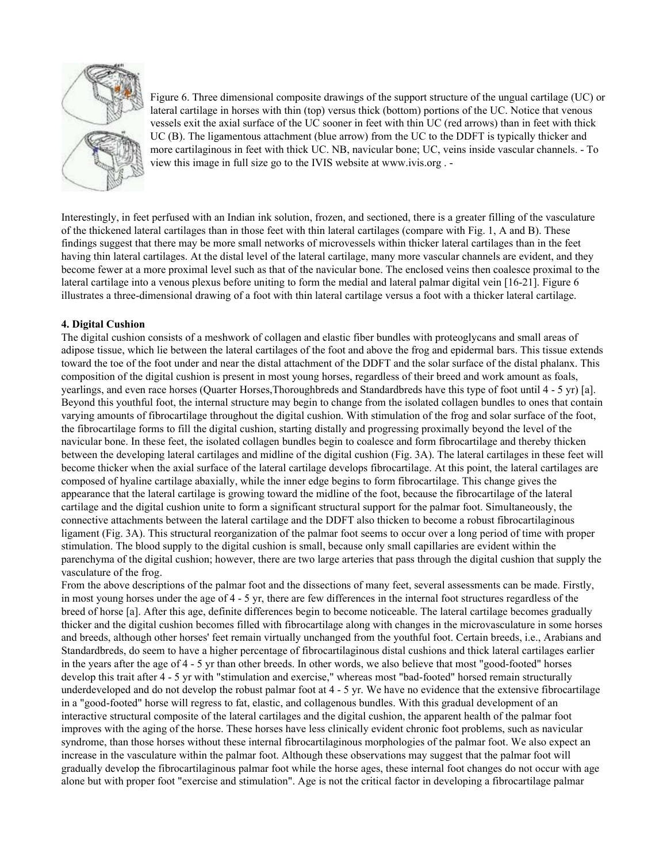

Figure 6. Three dimensional composite drawings of the support structure of the ungual cartilage (UC) or lateral cartilage in horses with thin (top) versus thick (bottom) portions of the UC. Notice that venous vessels exit the axial surface of the UC sooner in feet with thin UC (red arrows) than in feet with thick UC (B). The ligamentous attachment (blue arrow) from the UC to the DDFT is typically thicker and more cartilaginous in feet with thick UC. NB, navicular bone; UC, veins inside vascular channels. - To view this image in full size go to the IVIS website at www.ivis.org . -

Interestingly, in feet perfused with an Indian ink solution, frozen, and sectioned, there is a greater filling of the vasculature of the thickened lateral cartilages than in those feet with thin lateral cartilages (compare with Fig. 1, A and B). These findings suggest that there may be more small networks of microvessels within thicker lateral cartilages than in the feet having thin lateral cartilages. At the distal level of the lateral cartilage, many more vascular channels are evident, and they become fewer at a more proximal level such as that of the navicular bone. The enclosed veins then coalesce proximal to the lateral cartilage into a venous plexus before uniting to form the medial and lateral palmar digital vein [16-21]. Figure 6 illustrates a three-dimensional drawing of a foot with thin lateral cartilage versus a foot with a thicker lateral cartilage.

# **4. Digital Cushion**

The digital cushion consists of a meshwork of collagen and elastic fiber bundles with proteoglycans and small areas of adipose tissue, which lie between the lateral cartilages of the foot and above the frog and epidermal bars. This tissue extends toward the toe of the foot under and near the distal attachment of the DDFT and the solar surface of the distal phalanx. This composition of the digital cushion is present in most young horses, regardless of their breed and work amount as foals, yearlings, and even race horses (Quarter Horses,Thoroughbreds and Standardbreds have this type of foot until 4 - 5 yr) [a]. Beyond this youthful foot, the internal structure may begin to change from the isolated collagen bundles to ones that contain varying amounts of fibrocartilage throughout the digital cushion. With stimulation of the frog and solar surface of the foot, the fibrocartilage forms to fill the digital cushion, starting distally and progressing proximally beyond the level of the navicular bone. In these feet, the isolated collagen bundles begin to coalesce and form fibrocartilage and thereby thicken between the developing lateral cartilages and midline of the digital cushion (Fig. 3A). The lateral cartilages in these feet will become thicker when the axial surface of the lateral cartilage develops fibrocartilage. At this point, the lateral cartilages are composed of hyaline cartilage abaxially, while the inner edge begins to form fibrocartilage. This change gives the appearance that the lateral cartilage is growing toward the midline of the foot, because the fibrocartilage of the lateral cartilage and the digital cushion unite to form a significant structural support for the palmar foot. Simultaneously, the connective attachments between the lateral cartilage and the DDFT also thicken to become a robust fibrocartilaginous ligament (Fig. 3A). This structural reorganization of the palmar foot seems to occur over a long period of time with proper stimulation. The blood supply to the digital cushion is small, because only small capillaries are evident within the parenchyma of the digital cushion; however, there are two large arteries that pass through the digital cushion that supply the vasculature of the frog.

From the above descriptions of the palmar foot and the dissections of many feet, several assessments can be made. Firstly, in most young horses under the age of 4 - 5 yr, there are few differences in the internal foot structures regardless of the breed of horse [a]. After this age, definite differences begin to become noticeable. The lateral cartilage becomes gradually thicker and the digital cushion becomes filled with fibrocartilage along with changes in the microvasculature in some horses and breeds, although other horses' feet remain virtually unchanged from the youthful foot. Certain breeds, i.e., Arabians and Standardbreds, do seem to have a higher percentage of fibrocartilaginous distal cushions and thick lateral cartilages earlier in the years after the age of 4 - 5 yr than other breeds. In other words, we also believe that most "good-footed" horses develop this trait after 4 - 5 yr with "stimulation and exercise," whereas most "bad-footed" horsed remain structurally underdeveloped and do not develop the robust palmar foot at 4 - 5 yr. We have no evidence that the extensive fibrocartilage in a "good-footed" horse will regress to fat, elastic, and collagenous bundles. With this gradual development of an interactive structural composite of the lateral cartilages and the digital cushion, the apparent health of the palmar foot improves with the aging of the horse. These horses have less clinically evident chronic foot problems, such as navicular syndrome, than those horses without these internal fibrocartilaginous morphologies of the palmar foot. We also expect an increase in the vasculature within the palmar foot. Although these observations may suggest that the palmar foot will gradually develop the fibrocartilaginous palmar foot while the horse ages, these internal foot changes do not occur with age alone but with proper foot "exercise and stimulation". Age is not the critical factor in developing a fibrocartilage palmar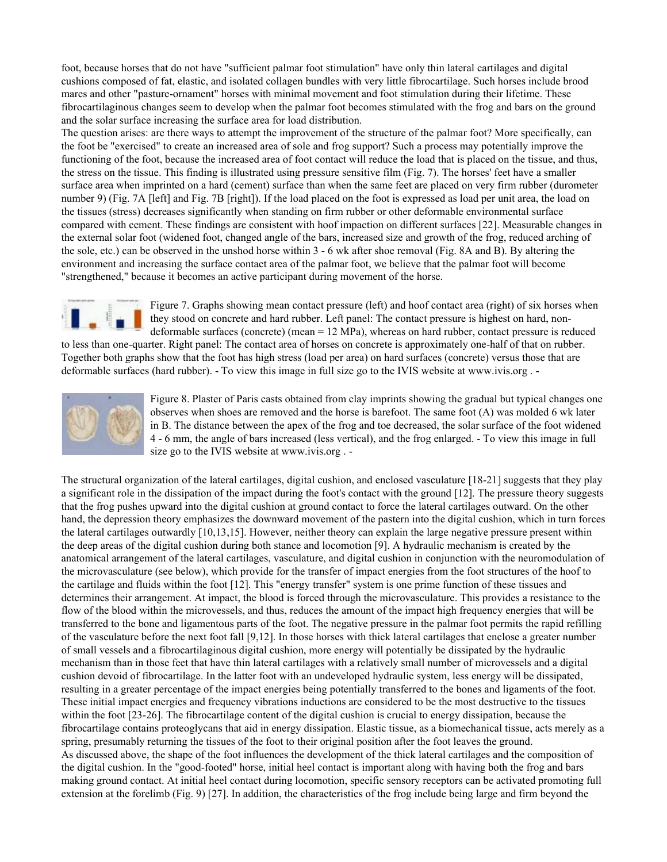foot, because horses that do not have "sufficient palmar foot stimulation" have only thin lateral cartilages and digital cushions composed of fat, elastic, and isolated collagen bundles with very little fibrocartilage. Such horses include brood mares and other "pasture-ornament" horses with minimal movement and foot stimulation during their lifetime. These fibrocartilaginous changes seem to develop when the palmar foot becomes stimulated with the frog and bars on the ground and the solar surface increasing the surface area for load distribution.

The question arises: are there ways to attempt the improvement of the structure of the palmar foot? More specifically, can the foot be "exercised" to create an increased area of sole and frog support? Such a process may potentially improve the functioning of the foot, because the increased area of foot contact will reduce the load that is placed on the tissue, and thus, the stress on the tissue. This finding is illustrated using pressure sensitive film (Fig. 7). The horses' feet have a smaller surface area when imprinted on a hard (cement) surface than when the same feet are placed on very firm rubber (durometer number 9) (Fig. 7A [left] and Fig. 7B [right]). If the load placed on the foot is expressed as load per unit area, the load on the tissues (stress) decreases significantly when standing on firm rubber or other deformable environmental surface compared with cement. These findings are consistent with hoof impaction on different surfaces [22]. Measurable changes in the external solar foot (widened foot, changed angle of the bars, increased size and growth of the frog, reduced arching of the sole, etc.) can be observed in the unshod horse within 3 - 6 wk after shoe removal (Fig. 8A and B). By altering the environment and increasing the surface contact area of the palmar foot, we believe that the palmar foot will become "strengthened," because it becomes an active participant during movement of the horse.



Figure 7. Graphs showing mean contact pressure (left) and hoof contact area (right) of six horses when they stood on concrete and hard rubber. Left panel: The contact pressure is highest on hard, nondeformable surfaces (concrete) (mean = 12 MPa), whereas on hard rubber, contact pressure is reduced

to less than one-quarter. Right panel: The contact area of horses on concrete is approximately one-half of that on rubber. Together both graphs show that the foot has high stress (load per area) on hard surfaces (concrete) versus those that are deformable surfaces (hard rubber). - To view this image in full size go to the IVIS website at www.ivis.org . -



Figure 8. Plaster of Paris casts obtained from clay imprints showing the gradual but typical changes one observes when shoes are removed and the horse is barefoot. The same foot (A) was molded 6 wk later in B. The distance between the apex of the frog and toe decreased, the solar surface of the foot widened 4 - 6 mm, the angle of bars increased (less vertical), and the frog enlarged. - To view this image in full size go to the IVIS website at www.ivis.org . -

The structural organization of the lateral cartilages, digital cushion, and enclosed vasculature [18-21] suggests that they play a significant role in the dissipation of the impact during the foot's contact with the ground [12]. The pressure theory suggests that the frog pushes upward into the digital cushion at ground contact to force the lateral cartilages outward. On the other hand, the depression theory emphasizes the downward movement of the pastern into the digital cushion, which in turn forces the lateral cartilages outwardly [10,13,15]. However, neither theory can explain the large negative pressure present within the deep areas of the digital cushion during both stance and locomotion [9]. A hydraulic mechanism is created by the anatomical arrangement of the lateral cartilages, vasculature, and digital cushion in conjunction with the neuromodulation of the microvasculature (see below), which provide for the transfer of impact energies from the foot structures of the hoof to the cartilage and fluids within the foot [12]. This "energy transfer" system is one prime function of these tissues and determines their arrangement. At impact, the blood is forced through the microvasculature. This provides a resistance to the flow of the blood within the microvessels, and thus, reduces the amount of the impact high frequency energies that will be transferred to the bone and ligamentous parts of the foot. The negative pressure in the palmar foot permits the rapid refilling of the vasculature before the next foot fall [9,12]. In those horses with thick lateral cartilages that enclose a greater number of small vessels and a fibrocartilaginous digital cushion, more energy will potentially be dissipated by the hydraulic mechanism than in those feet that have thin lateral cartilages with a relatively small number of microvessels and a digital cushion devoid of fibrocartilage. In the latter foot with an undeveloped hydraulic system, less energy will be dissipated, resulting in a greater percentage of the impact energies being potentially transferred to the bones and ligaments of the foot. These initial impact energies and frequency vibrations inductions are considered to be the most destructive to the tissues within the foot [23-26]. The fibrocartilage content of the digital cushion is crucial to energy dissipation, because the fibrocartilage contains proteoglycans that aid in energy dissipation. Elastic tissue, as a biomechanical tissue, acts merely as a spring, presumably returning the tissues of the foot to their original position after the foot leaves the ground. As discussed above, the shape of the foot influences the development of the thick lateral cartilages and the composition of the digital cushion. In the "good-footed" horse, initial heel contact is important along with having both the frog and bars making ground contact. At initial heel contact during locomotion, specific sensory receptors can be activated promoting full extension at the forelimb (Fig. 9) [27]. In addition, the characteristics of the frog include being large and firm beyond the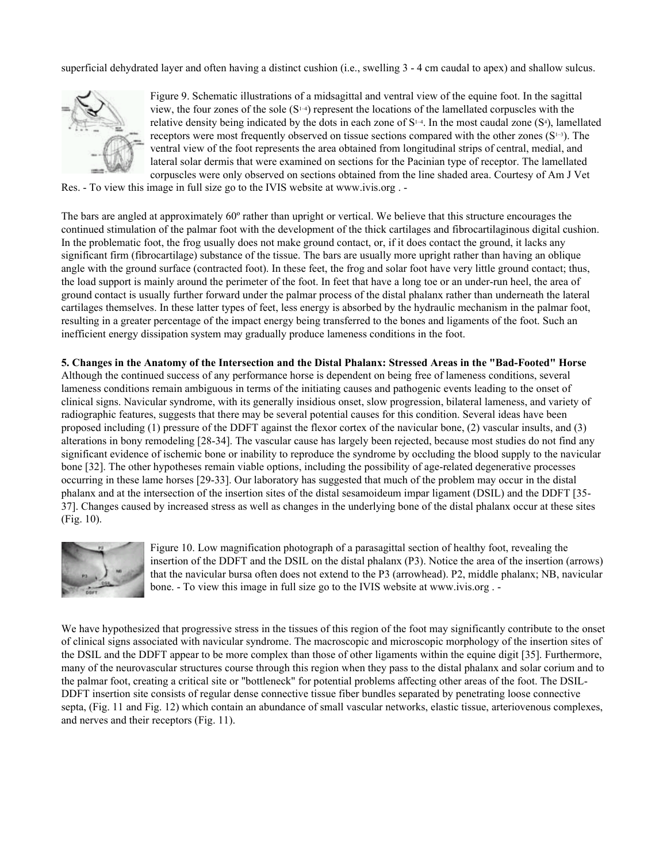superficial dehydrated layer and often having a distinct cushion (i.e., swelling 3 - 4 cm caudal to apex) and shallow sulcus.



Figure 9. Schematic illustrations of a midsagittal and ventral view of the equine foot. In the sagittal view, the four zones of the sole  $(S<sup>1-4</sup>)$  represent the locations of the lamellated corpuscles with the relative density being indicated by the dots in each zone of  $S^{1-4}$ . In the most caudal zone  $(S^4)$ , lamellated receptors were most frequently observed on tissue sections compared with the other zones ( $S^{1-3}$ ). The ventral view of the foot represents the area obtained from longitudinal strips of central, medial, and lateral solar dermis that were examined on sections for the Pacinian type of receptor. The lamellated corpuscles were only observed on sections obtained from the line shaded area. Courtesy of Am J Vet

Res. - To view this image in full size go to the IVIS website at www.ivis.org . -

The bars are angled at approximately 60º rather than upright or vertical. We believe that this structure encourages the continued stimulation of the palmar foot with the development of the thick cartilages and fibrocartilaginous digital cushion. In the problematic foot, the frog usually does not make ground contact, or, if it does contact the ground, it lacks any significant firm (fibrocartilage) substance of the tissue. The bars are usually more upright rather than having an oblique angle with the ground surface (contracted foot). In these feet, the frog and solar foot have very little ground contact; thus, the load support is mainly around the perimeter of the foot. In feet that have a long toe or an under-run heel, the area of ground contact is usually further forward under the palmar process of the distal phalanx rather than underneath the lateral cartilages themselves. In these latter types of feet, less energy is absorbed by the hydraulic mechanism in the palmar foot, resulting in a greater percentage of the impact energy being transferred to the bones and ligaments of the foot. Such an inefficient energy dissipation system may gradually produce lameness conditions in the foot.

**5. Changes in the Anatomy of the Intersection and the Distal Phalanx: Stressed Areas in the "Bad-Footed" Horse** Although the continued success of any performance horse is dependent on being free of lameness conditions, several lameness conditions remain ambiguous in terms of the initiating causes and pathogenic events leading to the onset of clinical signs. Navicular syndrome, with its generally insidious onset, slow progression, bilateral lameness, and variety of radiographic features, suggests that there may be several potential causes for this condition. Several ideas have been proposed including (1) pressure of the DDFT against the flexor cortex of the navicular bone, (2) vascular insults, and (3) alterations in bony remodeling [28-34]. The vascular cause has largely been rejected, because most studies do not find any significant evidence of ischemic bone or inability to reproduce the syndrome by occluding the blood supply to the navicular bone [32]. The other hypotheses remain viable options, including the possibility of age-related degenerative processes occurring in these lame horses [29-33]. Our laboratory has suggested that much of the problem may occur in the distal phalanx and at the intersection of the insertion sites of the distal sesamoideum impar ligament (DSIL) and the DDFT [35- 37]. Changes caused by increased stress as well as changes in the underlying bone of the distal phalanx occur at these sites (Fig. 10).



Figure 10. Low magnification photograph of a parasagittal section of healthy foot, revealing the insertion of the DDFT and the DSIL on the distal phalanx (P3). Notice the area of the insertion (arrows) that the navicular bursa often does not extend to the P3 (arrowhead). P2, middle phalanx; NB, navicular bone. - To view this image in full size go to the IVIS website at www.ivis.org . -

We have hypothesized that progressive stress in the tissues of this region of the foot may significantly contribute to the onset of clinical signs associated with navicular syndrome. The macroscopic and microscopic morphology of the insertion sites of the DSIL and the DDFT appear to be more complex than those of other ligaments within the equine digit [35]. Furthermore, many of the neurovascular structures course through this region when they pass to the distal phalanx and solar corium and to the palmar foot, creating a critical site or "bottleneck" for potential problems affecting other areas of the foot. The DSIL-DDFT insertion site consists of regular dense connective tissue fiber bundles separated by penetrating loose connective septa, (Fig. 11 and Fig. 12) which contain an abundance of small vascular networks, elastic tissue, arteriovenous complexes, and nerves and their receptors (Fig. 11).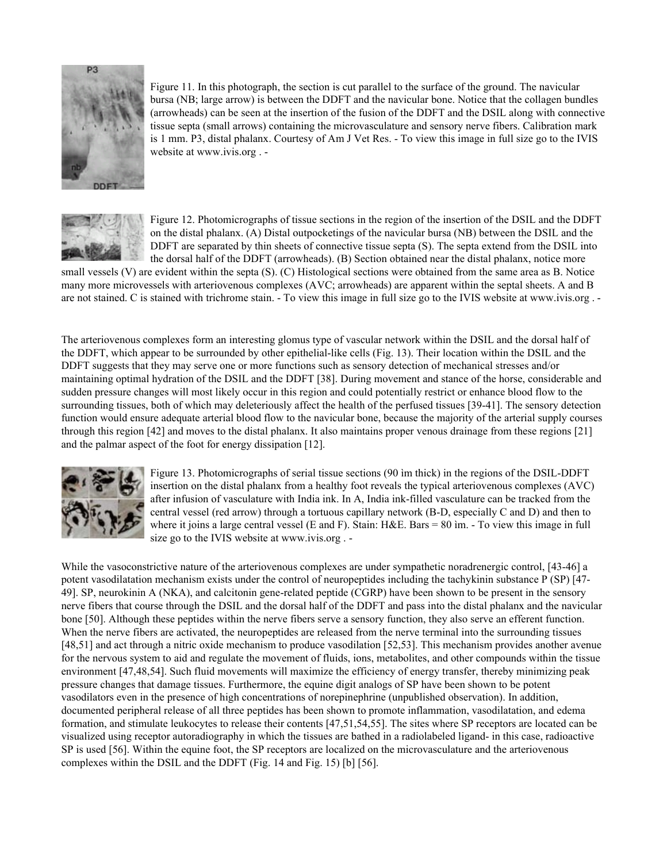

Figure 11. In this photograph, the section is cut parallel to the surface of the ground. The navicular bursa (NB; large arrow) is between the DDFT and the navicular bone. Notice that the collagen bundles (arrowheads) can be seen at the insertion of the fusion of the DDFT and the DSIL along with connective tissue septa (small arrows) containing the microvasculature and sensory nerve fibers. Calibration mark is 1 mm. P3, distal phalanx. Courtesy of Am J Vet Res. - To view this image in full size go to the IVIS website at www.ivis.org . -



Figure 12. Photomicrographs of tissue sections in the region of the insertion of the DSIL and the DDFT on the distal phalanx. (A) Distal outpocketings of the navicular bursa (NB) between the DSIL and the DDFT are separated by thin sheets of connective tissue septa (S). The septa extend from the DSIL into the dorsal half of the DDFT (arrowheads). (B) Section obtained near the distal phalanx, notice more

small vessels (V) are evident within the septa (S). (C) Histological sections were obtained from the same area as B. Notice many more microvessels with arteriovenous complexes (AVC; arrowheads) are apparent within the septal sheets. A and B are not stained. C is stained with trichrome stain. - To view this image in full size go to the IVIS website at www.ivis.org . -

The arteriovenous complexes form an interesting glomus type of vascular network within the DSIL and the dorsal half of the DDFT, which appear to be surrounded by other epithelial-like cells (Fig. 13). Their location within the DSIL and the DDFT suggests that they may serve one or more functions such as sensory detection of mechanical stresses and/or maintaining optimal hydration of the DSIL and the DDFT [38]. During movement and stance of the horse, considerable and sudden pressure changes will most likely occur in this region and could potentially restrict or enhance blood flow to the surrounding tissues, both of which may deleteriously affect the health of the perfused tissues [39-41]. The sensory detection function would ensure adequate arterial blood flow to the navicular bone, because the majority of the arterial supply courses through this region [42] and moves to the distal phalanx. It also maintains proper venous drainage from these regions [21] and the palmar aspect of the foot for energy dissipation [12].



Figure 13. Photomicrographs of serial tissue sections (90 ìm thick) in the regions of the DSIL-DDFT insertion on the distal phalanx from a healthy foot reveals the typical arteriovenous complexes (AVC) after infusion of vasculature with India ink. In A, India ink-filled vasculature can be tracked from the central vessel (red arrow) through a tortuous capillary network (B-D, especially C and D) and then to where it joins a large central vessel (E and F). Stain: H&E. Bars = 80 ìm. - To view this image in full size go to the IVIS website at www.ivis.org . -

While the vasoconstrictive nature of the arteriovenous complexes are under sympathetic noradrenergic control, [43-46] a potent vasodilatation mechanism exists under the control of neuropeptides including the tachykinin substance P (SP) [47- 49]. SP, neurokinin A (NKA), and calcitonin gene-related peptide (CGRP) have been shown to be present in the sensory nerve fibers that course through the DSIL and the dorsal half of the DDFT and pass into the distal phalanx and the navicular bone [50]. Although these peptides within the nerve fibers serve a sensory function, they also serve an efferent function. When the nerve fibers are activated, the neuropeptides are released from the nerve terminal into the surrounding tissues [48,51] and act through a nitric oxide mechanism to produce vasodilation [52,53]. This mechanism provides another avenue for the nervous system to aid and regulate the movement of fluids, ions, metabolites, and other compounds within the tissue environment [47,48,54]. Such fluid movements will maximize the efficiency of energy transfer, thereby minimizing peak pressure changes that damage tissues. Furthermore, the equine digit analogs of SP have been shown to be potent vasodilators even in the presence of high concentrations of norepinephrine (unpublished observation). In addition, documented peripheral release of all three peptides has been shown to promote inflammation, vasodilatation, and edema formation, and stimulate leukocytes to release their contents [47,51,54,55]. The sites where SP receptors are located can be visualized using receptor autoradiography in which the tissues are bathed in a radiolabeled ligand- in this case, radioactive SP is used [56]. Within the equine foot, the SP receptors are localized on the microvasculature and the arteriovenous complexes within the DSIL and the DDFT (Fig. 14 and Fig. 15) [b] [56].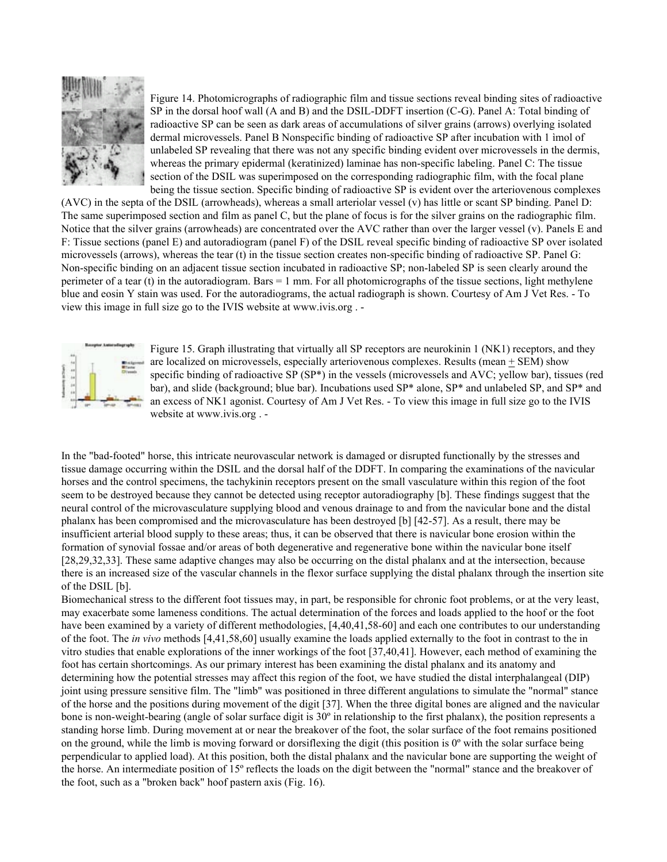

Figure 14. Photomicrographs of radiographic film and tissue sections reveal binding sites of radioactive SP in the dorsal hoof wall (A and B) and the DSIL-DDFT insertion (C-G). Panel A: Total binding of radioactive SP can be seen as dark areas of accumulations of silver grains (arrows) overlying isolated dermal microvessels. Panel B Nonspecific binding of radioactive SP after incubation with 1 ìmol of unlabeled SP revealing that there was not any specific binding evident over microvessels in the dermis, whereas the primary epidermal (keratinized) laminae has non-specific labeling. Panel C: The tissue section of the DSIL was superimposed on the corresponding radiographic film, with the focal plane being the tissue section. Specific binding of radioactive SP is evident over the arteriovenous complexes

(AVC) in the septa of the DSIL (arrowheads), whereas a small arteriolar vessel (v) has little or scant SP binding. Panel D: The same superimposed section and film as panel C, but the plane of focus is for the silver grains on the radiographic film. Notice that the silver grains (arrowheads) are concentrated over the AVC rather than over the larger vessel (v). Panels E and F: Tissue sections (panel E) and autoradiogram (panel F) of the DSIL reveal specific binding of radioactive SP over isolated microvessels (arrows), whereas the tear (t) in the tissue section creates non-specific binding of radioactive SP. Panel G: Non-specific binding on an adjacent tissue section incubated in radioactive SP; non-labeled SP is seen clearly around the perimeter of a tear (t) in the autoradiogram. Bars  $= 1$  mm. For all photomicrographs of the tissue sections, light methylene blue and eosin Y stain was used. For the autoradiograms, the actual radiograph is shown. Courtesy of Am J Vet Res. - To view this image in full size go to the IVIS website at www.ivis.org . -



Figure 15. Graph illustrating that virtually all SP receptors are neurokinin 1 (NK1) receptors, and they are localized on microvessels, especially arteriovenous complexes. Results (mean + SEM) show specific binding of radioactive SP (SP\*) in the vessels (microvessels and AVC; yellow bar), tissues (red bar), and slide (background; blue bar). Incubations used SP\* alone, SP\* and unlabeled SP, and SP\* and an excess of NK1 agonist. Courtesy of Am J Vet Res. - To view this image in full size go to the IVIS website at www.ivis.org . -

In the "bad-footed" horse, this intricate neurovascular network is damaged or disrupted functionally by the stresses and tissue damage occurring within the DSIL and the dorsal half of the DDFT. In comparing the examinations of the navicular horses and the control specimens, the tachykinin receptors present on the small vasculature within this region of the foot seem to be destroyed because they cannot be detected using receptor autoradiography [b]. These findings suggest that the neural control of the microvasculature supplying blood and venous drainage to and from the navicular bone and the distal phalanx has been compromised and the microvasculature has been destroyed [b] [42-57]. As a result, there may be insufficient arterial blood supply to these areas; thus, it can be observed that there is navicular bone erosion within the formation of synovial fossae and/or areas of both degenerative and regenerative bone within the navicular bone itself [28,29,32,33]. These same adaptive changes may also be occurring on the distal phalanx and at the intersection, because there is an increased size of the vascular channels in the flexor surface supplying the distal phalanx through the insertion site of the DSIL [b].

Biomechanical stress to the different foot tissues may, in part, be responsible for chronic foot problems, or at the very least, may exacerbate some lameness conditions. The actual determination of the forces and loads applied to the hoof or the foot have been examined by a variety of different methodologies, [4,40,41,58-60] and each one contributes to our understanding of the foot. The *in vivo* methods [4,41,58,60] usually examine the loads applied externally to the foot in contrast to the in vitro studies that enable explorations of the inner workings of the foot [37,40,41]. However, each method of examining the foot has certain shortcomings. As our primary interest has been examining the distal phalanx and its anatomy and determining how the potential stresses may affect this region of the foot, we have studied the distal interphalangeal (DIP) joint using pressure sensitive film. The "limb" was positioned in three different angulations to simulate the "normal" stance of the horse and the positions during movement of the digit [37]. When the three digital bones are aligned and the navicular bone is non-weight-bearing (angle of solar surface digit is 30º in relationship to the first phalanx), the position represents a standing horse limb. During movement at or near the breakover of the foot, the solar surface of the foot remains positioned on the ground, while the limb is moving forward or dorsiflexing the digit (this position is  $0^\circ$  with the solar surface being perpendicular to applied load). At this position, both the distal phalanx and the navicular bone are supporting the weight of the horse. An intermediate position of 15º reflects the loads on the digit between the "normal" stance and the breakover of the foot, such as a "broken back" hoof pastern axis (Fig. 16).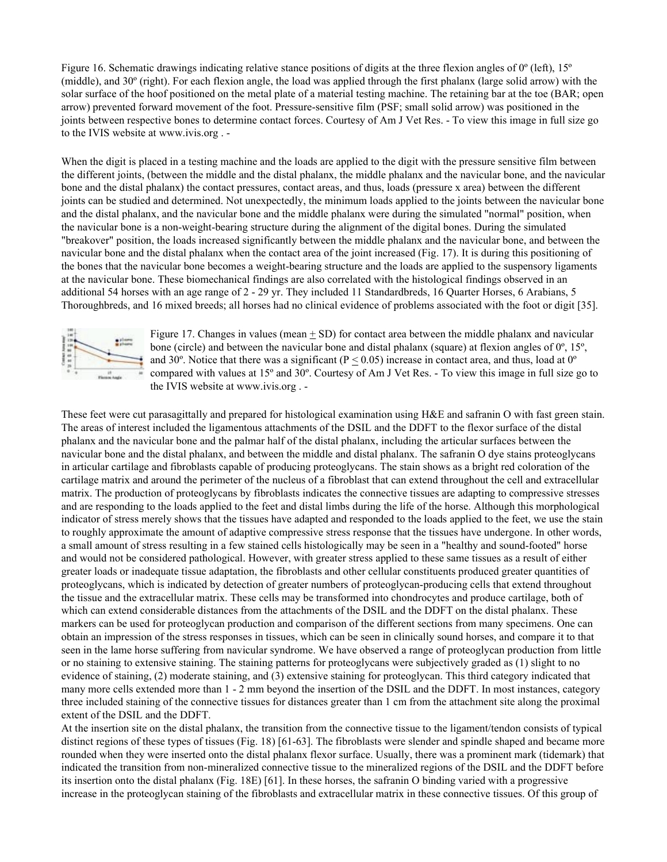Figure 16. Schematic drawings indicating relative stance positions of digits at the three flexion angles of 0<sup>°</sup> (left), 15<sup>°</sup> (middle), and 30º (right). For each flexion angle, the load was applied through the first phalanx (large solid arrow) with the solar surface of the hoof positioned on the metal plate of a material testing machine. The retaining bar at the toe (BAR; open arrow) prevented forward movement of the foot. Pressure-sensitive film (PSF; small solid arrow) was positioned in the joints between respective bones to determine contact forces. Courtesy of Am J Vet Res. - To view this image in full size go to the IVIS website at www.ivis.org . -

When the digit is placed in a testing machine and the loads are applied to the digit with the pressure sensitive film between the different joints, (between the middle and the distal phalanx, the middle phalanx and the navicular bone, and the navicular bone and the distal phalanx) the contact pressures, contact areas, and thus, loads (pressure x area) between the different joints can be studied and determined. Not unexpectedly, the minimum loads applied to the joints between the navicular bone and the distal phalanx, and the navicular bone and the middle phalanx were during the simulated "normal" position, when the navicular bone is a non-weight-bearing structure during the alignment of the digital bones. During the simulated "breakover" position, the loads increased significantly between the middle phalanx and the navicular bone, and between the navicular bone and the distal phalanx when the contact area of the joint increased (Fig. 17). It is during this positioning of the bones that the navicular bone becomes a weight-bearing structure and the loads are applied to the suspensory ligaments at the navicular bone. These biomechanical findings are also correlated with the histological findings observed in an additional 54 horses with an age range of 2 - 29 yr. They included 11 Standardbreds, 16 Quarter Horses, 6 Arabians, 5 Thoroughbreds, and 16 mixed breeds; all horses had no clinical evidence of problems associated with the foot or digit [35].



Figure 17. Changes in values (mean  $\pm$  SD) for contact area between the middle phalanx and navicular bone (circle) and between the navicular bone and distal phalanx (square) at flexion angles of 0º, 15º, and 30°. Notice that there was a significant ( $P \le 0.05$ ) increase in contact area, and thus, load at 0° compared with values at 15º and 30º. Courtesy of Am J Vet Res. - To view this image in full size go to the IVIS website at www.ivis.org . -

These feet were cut parasagittally and prepared for histological examination using H&E and safranin O with fast green stain. The areas of interest included the ligamentous attachments of the DSIL and the DDFT to the flexor surface of the distal phalanx and the navicular bone and the palmar half of the distal phalanx, including the articular surfaces between the navicular bone and the distal phalanx, and between the middle and distal phalanx. The safranin O dye stains proteoglycans in articular cartilage and fibroblasts capable of producing proteoglycans. The stain shows as a bright red coloration of the cartilage matrix and around the perimeter of the nucleus of a fibroblast that can extend throughout the cell and extracellular matrix. The production of proteoglycans by fibroblasts indicates the connective tissues are adapting to compressive stresses and are responding to the loads applied to the feet and distal limbs during the life of the horse. Although this morphological indicator of stress merely shows that the tissues have adapted and responded to the loads applied to the feet, we use the stain to roughly approximate the amount of adaptive compressive stress response that the tissues have undergone. In other words, a small amount of stress resulting in a few stained cells histologically may be seen in a "healthy and sound-footed" horse and would not be considered pathological. However, with greater stress applied to these same tissues as a result of either greater loads or inadequate tissue adaptation, the fibroblasts and other cellular constituents produced greater quantities of proteoglycans, which is indicated by detection of greater numbers of proteoglycan-producing cells that extend throughout the tissue and the extracellular matrix. These cells may be transformed into chondrocytes and produce cartilage, both of which can extend considerable distances from the attachments of the DSIL and the DDFT on the distal phalanx. These markers can be used for proteoglycan production and comparison of the different sections from many specimens. One can obtain an impression of the stress responses in tissues, which can be seen in clinically sound horses, and compare it to that seen in the lame horse suffering from navicular syndrome. We have observed a range of proteoglycan production from little or no staining to extensive staining. The staining patterns for proteoglycans were subjectively graded as (1) slight to no evidence of staining, (2) moderate staining, and (3) extensive staining for proteoglycan. This third category indicated that many more cells extended more than 1 - 2 mm beyond the insertion of the DSIL and the DDFT. In most instances, category three included staining of the connective tissues for distances greater than 1 cm from the attachment site along the proximal extent of the DSIL and the DDFT.

At the insertion site on the distal phalanx, the transition from the connective tissue to the ligament/tendon consists of typical distinct regions of these types of tissues (Fig. 18) [61-63]. The fibroblasts were slender and spindle shaped and became more rounded when they were inserted onto the distal phalanx flexor surface. Usually, there was a prominent mark (tidemark) that indicated the transition from non-mineralized connective tissue to the mineralized regions of the DSIL and the DDFT before its insertion onto the distal phalanx (Fig. 18E) [61]. In these horses, the safranin O binding varied with a progressive increase in the proteoglycan staining of the fibroblasts and extracellular matrix in these connective tissues. Of this group of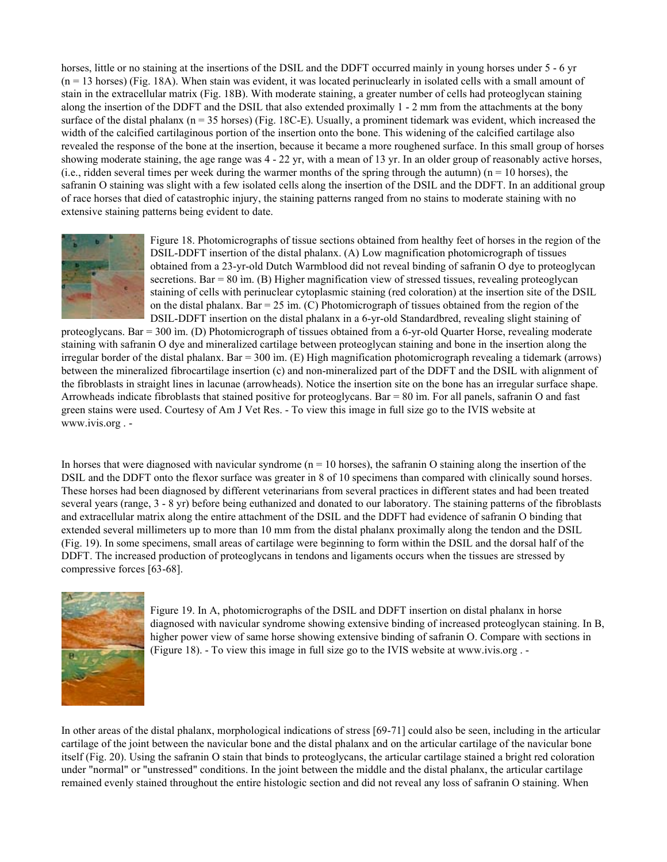horses, little or no staining at the insertions of the DSIL and the DDFT occurred mainly in young horses under 5 - 6 yr  $(n = 13$  horses) (Fig. 18A). When stain was evident, it was located perinuclearly in isolated cells with a small amount of stain in the extracellular matrix (Fig. 18B). With moderate staining, a greater number of cells had proteoglycan staining along the insertion of the DDFT and the DSIL that also extended proximally 1 - 2 mm from the attachments at the bony surface of the distal phalanx (n = 35 horses) (Fig. 18C-E). Usually, a prominent tidemark was evident, which increased the width of the calcified cartilaginous portion of the insertion onto the bone. This widening of the calcified cartilage also revealed the response of the bone at the insertion, because it became a more roughened surface. In this small group of horses showing moderate staining, the age range was 4 - 22 yr, with a mean of 13 yr. In an older group of reasonably active horses, (i.e., ridden several times per week during the warmer months of the spring through the autumn) ( $n = 10$  horses), the safranin O staining was slight with a few isolated cells along the insertion of the DSIL and the DDFT. In an additional group of race horses that died of catastrophic injury, the staining patterns ranged from no stains to moderate staining with no extensive staining patterns being evident to date.



Figure 18. Photomicrographs of tissue sections obtained from healthy feet of horses in the region of the DSIL-DDFT insertion of the distal phalanx. (A) Low magnification photomicrograph of tissues obtained from a 23-yr-old Dutch Warmblood did not reveal binding of safranin O dye to proteoglycan secretions. Bar  $= 80$  im. (B) Higher magnification view of stressed tissues, revealing proteoglycan staining of cells with perinuclear cytoplasmic staining (red coloration) at the insertion site of the DSIL on the distal phalanx. Bar =  $25$  im. (C) Photomicrograph of tissues obtained from the region of the DSIL-DDFT insertion on the distal phalanx in a 6-yr-old Standardbred, revealing slight staining of

proteoglycans. Bar = 300 ìm. (D) Photomicrograph of tissues obtained from a 6-yr-old Quarter Horse, revealing moderate staining with safranin O dye and mineralized cartilage between proteoglycan staining and bone in the insertion along the irregular border of the distal phalanx. Bar = 300 ìm. (E) High magnification photomicrograph revealing a tidemark (arrows) between the mineralized fibrocartilage insertion (c) and non-mineralized part of the DDFT and the DSIL with alignment of the fibroblasts in straight lines in lacunae (arrowheads). Notice the insertion site on the bone has an irregular surface shape. Arrowheads indicate fibroblasts that stained positive for proteoglycans. Bar = 80 ìm. For all panels, safranin O and fast green stains were used. Courtesy of Am J Vet Res. - To view this image in full size go to the IVIS website at www.ivis.org . -

In horses that were diagnosed with navicular syndrome  $(n = 10$  horses), the safranin O staining along the insertion of the DSIL and the DDFT onto the flexor surface was greater in 8 of 10 specimens than compared with clinically sound horses. These horses had been diagnosed by different veterinarians from several practices in different states and had been treated several years (range, 3 - 8 yr) before being euthanized and donated to our laboratory. The staining patterns of the fibroblasts and extracellular matrix along the entire attachment of the DSIL and the DDFT had evidence of safranin O binding that extended several millimeters up to more than 10 mm from the distal phalanx proximally along the tendon and the DSIL (Fig. 19). In some specimens, small areas of cartilage were beginning to form within the DSIL and the dorsal half of the DDFT. The increased production of proteoglycans in tendons and ligaments occurs when the tissues are stressed by compressive forces [63-68].



Figure 19. In A, photomicrographs of the DSIL and DDFT insertion on distal phalanx in horse diagnosed with navicular syndrome showing extensive binding of increased proteoglycan staining. In B, higher power view of same horse showing extensive binding of safranin O. Compare with sections in (Figure 18). - To view this image in full size go to the IVIS website at www.ivis.org . -

In other areas of the distal phalanx, morphological indications of stress [69-71] could also be seen, including in the articular cartilage of the joint between the navicular bone and the distal phalanx and on the articular cartilage of the navicular bone itself (Fig. 20). Using the safranin O stain that binds to proteoglycans, the articular cartilage stained a bright red coloration under "normal" or "unstressed" conditions. In the joint between the middle and the distal phalanx, the articular cartilage remained evenly stained throughout the entire histologic section and did not reveal any loss of safranin O staining. When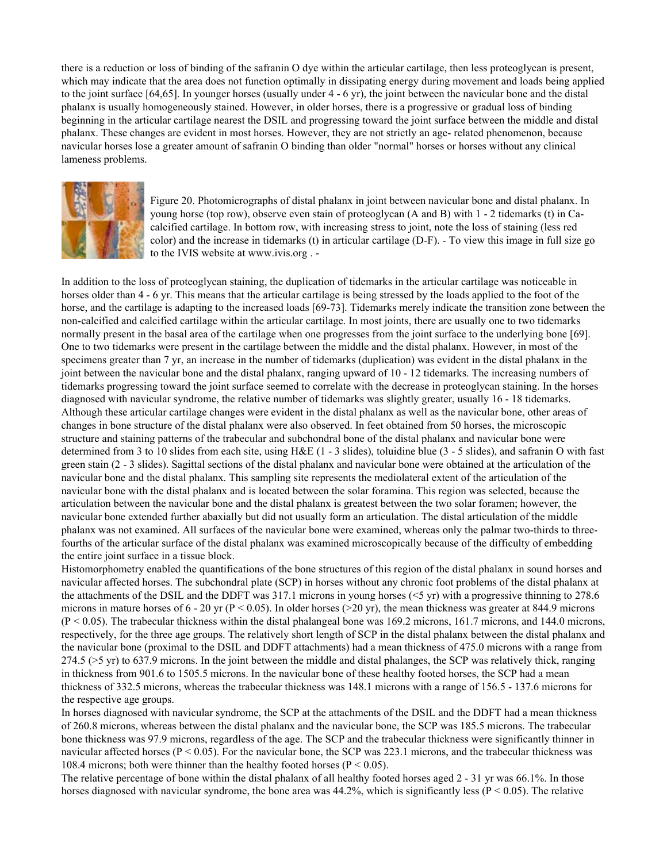there is a reduction or loss of binding of the safranin O dye within the articular cartilage, then less proteoglycan is present, which may indicate that the area does not function optimally in dissipating energy during movement and loads being applied to the joint surface [64,65]. In younger horses (usually under 4 - 6 yr), the joint between the navicular bone and the distal phalanx is usually homogeneously stained. However, in older horses, there is a progressive or gradual loss of binding beginning in the articular cartilage nearest the DSIL and progressing toward the joint surface between the middle and distal phalanx. These changes are evident in most horses. However, they are not strictly an age- related phenomenon, because navicular horses lose a greater amount of safranin O binding than older "normal" horses or horses without any clinical lameness problems.



Figure 20. Photomicrographs of distal phalanx in joint between navicular bone and distal phalanx. In young horse (top row), observe even stain of proteoglycan (A and B) with 1 - 2 tidemarks (t) in Cacalcified cartilage. In bottom row, with increasing stress to joint, note the loss of staining (less red color) and the increase in tidemarks (t) in articular cartilage (D-F). - To view this image in full size go to the IVIS website at www.ivis.org . -

In addition to the loss of proteoglycan staining, the duplication of tidemarks in the articular cartilage was noticeable in horses older than 4 - 6 yr. This means that the articular cartilage is being stressed by the loads applied to the foot of the horse, and the cartilage is adapting to the increased loads [69-73]. Tidemarks merely indicate the transition zone between the non-calcified and calcified cartilage within the articular cartilage. In most joints, there are usually one to two tidemarks normally present in the basal area of the cartilage when one progresses from the joint surface to the underlying bone [69]. One to two tidemarks were present in the cartilage between the middle and the distal phalanx. However, in most of the specimens greater than 7 yr, an increase in the number of tidemarks (duplication) was evident in the distal phalanx in the joint between the navicular bone and the distal phalanx, ranging upward of 10 - 12 tidemarks. The increasing numbers of tidemarks progressing toward the joint surface seemed to correlate with the decrease in proteoglycan staining. In the horses diagnosed with navicular syndrome, the relative number of tidemarks was slightly greater, usually 16 - 18 tidemarks. Although these articular cartilage changes were evident in the distal phalanx as well as the navicular bone, other areas of changes in bone structure of the distal phalanx were also observed. In feet obtained from 50 horses, the microscopic structure and staining patterns of the trabecular and subchondral bone of the distal phalanx and navicular bone were determined from 3 to 10 slides from each site, using H&E (1 - 3 slides), toluidine blue (3 - 5 slides), and safranin O with fast green stain (2 - 3 slides). Sagittal sections of the distal phalanx and navicular bone were obtained at the articulation of the navicular bone and the distal phalanx. This sampling site represents the mediolateral extent of the articulation of the navicular bone with the distal phalanx and is located between the solar foramina. This region was selected, because the articulation between the navicular bone and the distal phalanx is greatest between the two solar foramen; however, the navicular bone extended further abaxially but did not usually form an articulation. The distal articulation of the middle phalanx was not examined. All surfaces of the navicular bone were examined, whereas only the palmar two-thirds to threefourths of the articular surface of the distal phalanx was examined microscopically because of the difficulty of embedding the entire joint surface in a tissue block.

Histomorphometry enabled the quantifications of the bone structures of this region of the distal phalanx in sound horses and navicular affected horses. The subchondral plate (SCP) in horses without any chronic foot problems of the distal phalanx at the attachments of the DSIL and the DDFT was 317.1 microns in young horses (<5 yr) with a progressive thinning to 278.6 microns in mature horses of  $6 - 20$  yr ( $P < 0.05$ ). In older horses (>20 yr), the mean thickness was greater at 844.9 microns (P < 0.05). The trabecular thickness within the distal phalangeal bone was 169.2 microns, 161.7 microns, and 144.0 microns, respectively, for the three age groups. The relatively short length of SCP in the distal phalanx between the distal phalanx and the navicular bone (proximal to the DSIL and DDFT attachments) had a mean thickness of 475.0 microns with a range from 274.5 (>5 yr) to 637.9 microns. In the joint between the middle and distal phalanges, the SCP was relatively thick, ranging in thickness from 901.6 to 1505.5 microns. In the navicular bone of these healthy footed horses, the SCP had a mean thickness of 332.5 microns, whereas the trabecular thickness was 148.1 microns with a range of 156.5 - 137.6 microns for the respective age groups.

In horses diagnosed with navicular syndrome, the SCP at the attachments of the DSIL and the DDFT had a mean thickness of 260.8 microns, whereas between the distal phalanx and the navicular bone, the SCP was 185.5 microns. The trabecular bone thickness was 97.9 microns, regardless of the age. The SCP and the trabecular thickness were significantly thinner in navicular affected horses ( $P < 0.05$ ). For the navicular bone, the SCP was 223.1 microns, and the trabecular thickness was 108.4 microns; both were thinner than the healthy footed horses ( $P < 0.05$ ).

The relative percentage of bone within the distal phalanx of all healthy footed horses aged 2 - 31 yr was 66.1%. In those horses diagnosed with navicular syndrome, the bone area was  $44.2\%$ , which is significantly less ( $P < 0.05$ ). The relative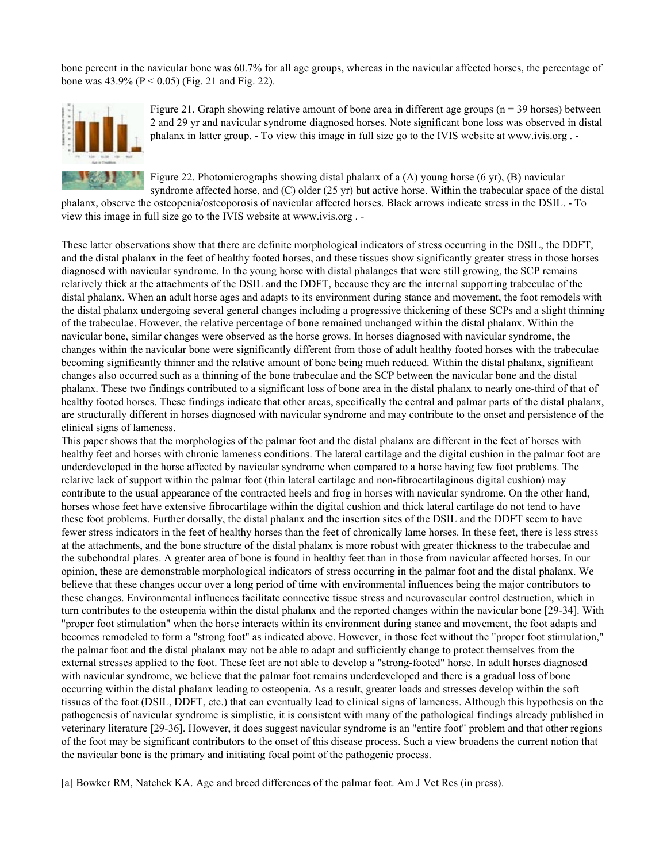bone percent in the navicular bone was 60.7% for all age groups, whereas in the navicular affected horses, the percentage of bone was  $43.9\%$  (P < 0.05) (Fig. 21 and Fig. 22).



Figure 21. Graph showing relative amount of bone area in different age groups ( $n = 39$  horses) between 2 and 29 yr and navicular syndrome diagnosed horses. Note significant bone loss was observed in distal phalanx in latter group. - To view this image in full size go to the IVIS website at www.ivis.org . -

Figure 22. Photomicrographs showing distal phalanx of a (A) young horse (6 yr), (B) navicular syndrome affected horse, and (C) older (25 yr) but active horse. Within the trabecular space of the distal

phalanx, observe the osteopenia/osteoporosis of navicular affected horses. Black arrows indicate stress in the DSIL. - To view this image in full size go to the IVIS website at www.ivis.org . -

These latter observations show that there are definite morphological indicators of stress occurring in the DSIL, the DDFT, and the distal phalanx in the feet of healthy footed horses, and these tissues show significantly greater stress in those horses diagnosed with navicular syndrome. In the young horse with distal phalanges that were still growing, the SCP remains relatively thick at the attachments of the DSIL and the DDFT, because they are the internal supporting trabeculae of the distal phalanx. When an adult horse ages and adapts to its environment during stance and movement, the foot remodels with the distal phalanx undergoing several general changes including a progressive thickening of these SCPs and a slight thinning of the trabeculae. However, the relative percentage of bone remained unchanged within the distal phalanx. Within the navicular bone, similar changes were observed as the horse grows. In horses diagnosed with navicular syndrome, the changes within the navicular bone were significantly different from those of adult healthy footed horses with the trabeculae becoming significantly thinner and the relative amount of bone being much reduced. Within the distal phalanx, significant changes also occurred such as a thinning of the bone trabeculae and the SCP between the navicular bone and the distal phalanx. These two findings contributed to a significant loss of bone area in the distal phalanx to nearly one-third of that of healthy footed horses. These findings indicate that other areas, specifically the central and palmar parts of the distal phalanx, are structurally different in horses diagnosed with navicular syndrome and may contribute to the onset and persistence of the clinical signs of lameness.

This paper shows that the morphologies of the palmar foot and the distal phalanx are different in the feet of horses with healthy feet and horses with chronic lameness conditions. The lateral cartilage and the digital cushion in the palmar foot are underdeveloped in the horse affected by navicular syndrome when compared to a horse having few foot problems. The relative lack of support within the palmar foot (thin lateral cartilage and non-fibrocartilaginous digital cushion) may contribute to the usual appearance of the contracted heels and frog in horses with navicular syndrome. On the other hand, horses whose feet have extensive fibrocartilage within the digital cushion and thick lateral cartilage do not tend to have these foot problems. Further dorsally, the distal phalanx and the insertion sites of the DSIL and the DDFT seem to have fewer stress indicators in the feet of healthy horses than the feet of chronically lame horses. In these feet, there is less stress at the attachments, and the bone structure of the distal phalanx is more robust with greater thickness to the trabeculae and the subchondral plates. A greater area of bone is found in healthy feet than in those from navicular affected horses. In our opinion, these are demonstrable morphological indicators of stress occurring in the palmar foot and the distal phalanx. We believe that these changes occur over a long period of time with environmental influences being the major contributors to these changes. Environmental influences facilitate connective tissue stress and neurovascular control destruction, which in turn contributes to the osteopenia within the distal phalanx and the reported changes within the navicular bone [29-34]. With "proper foot stimulation" when the horse interacts within its environment during stance and movement, the foot adapts and becomes remodeled to form a "strong foot" as indicated above. However, in those feet without the "proper foot stimulation," the palmar foot and the distal phalanx may not be able to adapt and sufficiently change to protect themselves from the external stresses applied to the foot. These feet are not able to develop a "strong-footed" horse. In adult horses diagnosed with navicular syndrome, we believe that the palmar foot remains underdeveloped and there is a gradual loss of bone occurring within the distal phalanx leading to osteopenia. As a result, greater loads and stresses develop within the soft tissues of the foot (DSIL, DDFT, etc.) that can eventually lead to clinical signs of lameness. Although this hypothesis on the pathogenesis of navicular syndrome is simplistic, it is consistent with many of the pathological findings already published in veterinary literature [29-36]. However, it does suggest navicular syndrome is an "entire foot" problem and that other regions of the foot may be significant contributors to the onset of this disease process. Such a view broadens the current notion that the navicular bone is the primary and initiating focal point of the pathogenic process.

[a] Bowker RM, Natchek KA. Age and breed differences of the palmar foot. Am J Vet Res (in press).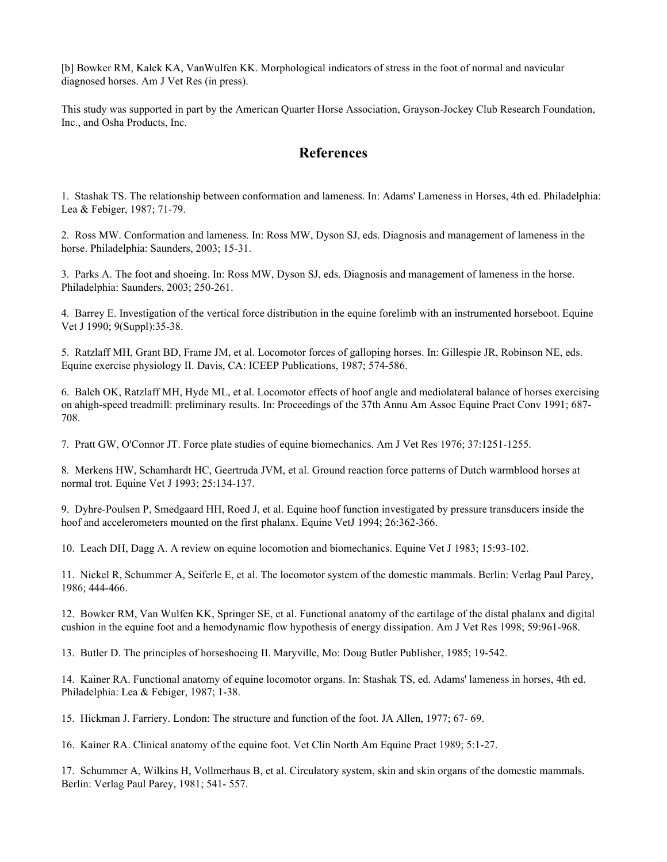[b] Bowker RM, Kalck KA, VanWulfen KK. Morphological indicators of stress in the foot of normal and navicular diagnosed horses. Am J Vet Res (in press).

This study was supported in part by the American Quarter Horse Association, Grayson-Jockey Club Research Foundation, Inc., and Osha Products, Inc.

# **References**

1. Stashak TS. The relationship between conformation and lameness. In: Adams' Lameness in Horses, 4th ed. Philadelphia: Lea & Febiger, 1987; 71-79.

2. Ross MW. Conformation and lameness. In: Ross MW, Dyson SJ, eds. Diagnosis and management of lameness in the horse. Philadelphia: Saunders, 2003; 15-31.

3. Parks A. The foot and shoeing. In: Ross MW, Dyson SJ, eds. Diagnosis and management of lameness in the horse. Philadelphia: Saunders, 2003; 250-261.

4. Barrey E. Investigation of the vertical force distribution in the equine forelimb with an instrumented horseboot. Equine Vet J 1990; 9(Suppl):35-38.

5. Ratzlaff MH, Grant BD, Frame JM, et al. Locomotor forces of galloping horses. In: Gillespie JR, Robinson NE, eds. Equine exercise physiology II. Davis, CA: ICEEP Publications, 1987; 574-586.

6. Balch OK, Ratzlaff MH, Hyde ML, et al. Locomotor effects of hoof angle and mediolateral balance of horses exercising on ahigh-speed treadmill: preliminary results. In: Proceedings of the 37th Annu Am Assoc Equine Pract Conv 1991; 687- 708.

7. Pratt GW, O'Connor JT. Force plate studies of equine biomechanics. Am J Vet Res 1976; 37:1251-1255.

8. Merkens HW, Schamhardt HC, Geertruda JVM, et al. Ground reaction force patterns of Dutch warmblood horses at normal trot. Equine Vet J 1993; 25:134-137.

9. Dyhre-Poulsen P, Smedgaard HH, Roed J, et al. Equine hoof function investigated by pressure transducers inside the hoof and accelerometers mounted on the first phalanx. Equine VetJ 1994; 26:362-366.

10. Leach DH, Dagg A. A review on equine locomotion and biomechanics. Equine Vet J 1983; 15:93-102.

11. Nickel R, Schummer A, Seiferle E, et al. The locomotor system of the domestic mammals. Berlin: Verlag Paul Parey, 1986; 444-466.

12. Bowker RM, Van Wulfen KK, Springer SE, et al. Functional anatomy of the cartilage of the distal phalanx and digital cushion in the equine foot and a hemodynamic flow hypothesis of energy dissipation. Am J Vet Res 1998; 59:961-968.

13. Butler D. The principles of horseshoeing II. Maryville, Mo: Doug Butler Publisher, 1985; 19-542.

14. Kainer RA. Functional anatomy of equine locomotor organs. In: Stashak TS, ed. Adams' lameness in horses, 4th ed. Philadelphia: Lea & Febiger, 1987; 1-38.

15. Hickman J. Farriery. London: The structure and function of the foot. JA Allen, 1977; 67- 69.

16. Kainer RA. Clinical anatomy of the equine foot. Vet Clin North Am Equine Pract 1989; 5:1-27.

17. Schummer A, Wilkins H, Vollmerhaus B, et al. Circulatory system, skin and skin organs of the domestic mammals. Berlin: Verlag Paul Parey, 1981; 541- 557.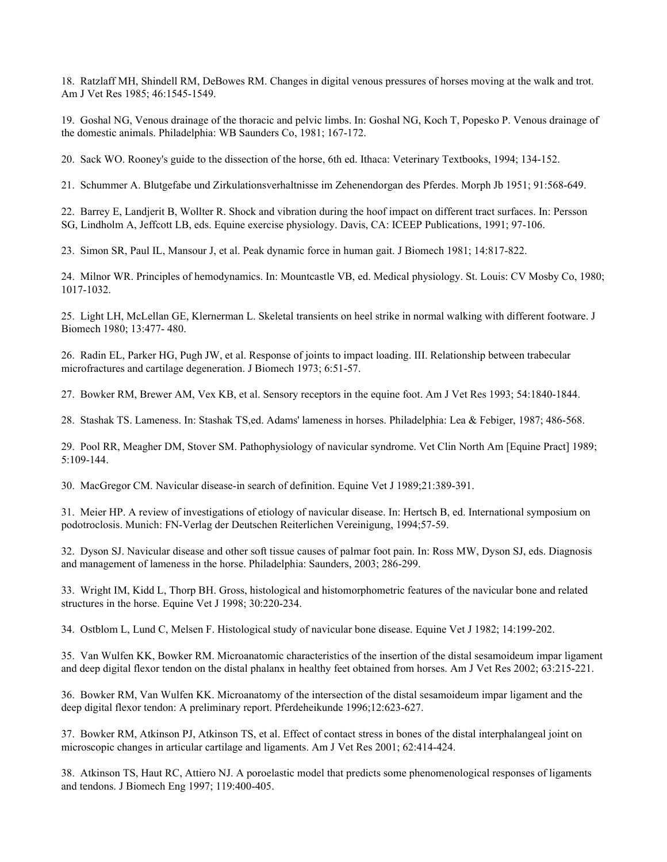18. Ratzlaff MH, Shindell RM, DeBowes RM. Changes in digital venous pressures of horses moving at the walk and trot. Am J Vet Res 1985; 46:1545-1549.

19. Goshal NG, Venous drainage of the thoracic and pelvic limbs. In: Goshal NG, Koch T, Popesko P. Venous drainage of the domestic animals. Philadelphia: WB Saunders Co, 1981; 167-172.

20. Sack WO. Rooney's guide to the dissection of the horse, 6th ed. Ithaca: Veterinary Textbooks, 1994; 134-152.

21. Schummer A. Blutgefabe und Zirkulationsverhaltnisse im Zehenendorgan des Pferdes. Morph Jb 1951; 91:568-649.

22. Barrey E, Landjerit B, Wollter R. Shock and vibration during the hoof impact on different tract surfaces. In: Persson SG, Lindholm A, Jeffcott LB, eds. Equine exercise physiology. Davis, CA: ICEEP Publications, 1991; 97-106.

23. Simon SR, Paul IL, Mansour J, et al. Peak dynamic force in human gait. J Biomech 1981; 14:817-822.

24. Milnor WR. Principles of hemodynamics. In: Mountcastle VB, ed. Medical physiology. St. Louis: CV Mosby Co, 1980; 1017-1032.

25. Light LH, McLellan GE, Klernerman L. Skeletal transients on heel strike in normal walking with different footware. J Biomech 1980; 13:477- 480.

26. Radin EL, Parker HG, Pugh JW, et al. Response of joints to impact loading. III. Relationship between trabecular microfractures and cartilage degeneration. J Biomech 1973; 6:51-57.

27. Bowker RM, Brewer AM, Vex KB, et al. Sensory receptors in the equine foot. Am J Vet Res 1993; 54:1840-1844.

28. Stashak TS. Lameness. In: Stashak TS,ed. Adams' lameness in horses. Philadelphia: Lea & Febiger, 1987; 486-568.

29. Pool RR, Meagher DM, Stover SM. Pathophysiology of navicular syndrome. Vet Clin North Am [Equine Pract] 1989; 5:109-144.

30. MacGregor CM. Navicular disease-in search of definition. Equine Vet J 1989;21:389-391.

31. Meier HP. A review of investigations of etiology of navicular disease. In: Hertsch B, ed. International symposium on podotroclosis. Munich: FN-Verlag der Deutschen Reiterlichen Vereinigung, 1994;57-59.

32. Dyson SJ. Navicular disease and other soft tissue causes of palmar foot pain. In: Ross MW, Dyson SJ, eds. Diagnosis and management of lameness in the horse. Philadelphia: Saunders, 2003; 286-299.

33. Wright IM, Kidd L, Thorp BH. Gross, histological and histomorphometric features of the navicular bone and related structures in the horse. Equine Vet J 1998; 30:220-234.

34. Ostblom L, Lund C, Melsen F. Histological study of navicular bone disease. Equine Vet J 1982; 14:199-202.

35. Van Wulfen KK, Bowker RM. Microanatomic characteristics of the insertion of the distal sesamoideum impar ligament and deep digital flexor tendon on the distal phalanx in healthy feet obtained from horses. Am J Vet Res 2002; 63:215-221.

36. Bowker RM, Van Wulfen KK. Microanatomy of the intersection of the distal sesamoideum impar ligament and the deep digital flexor tendon: A preliminary report. Pferdeheikunde 1996;12:623-627.

37. Bowker RM, Atkinson PJ, Atkinson TS, et al. Effect of contact stress in bones of the distal interphalangeal joint on microscopic changes in articular cartilage and ligaments. Am J Vet Res 2001; 62:414-424.

38. Atkinson TS, Haut RC, Attiero NJ. A poroelastic model that predicts some phenomenological responses of ligaments and tendons. J Biomech Eng 1997; 119:400-405.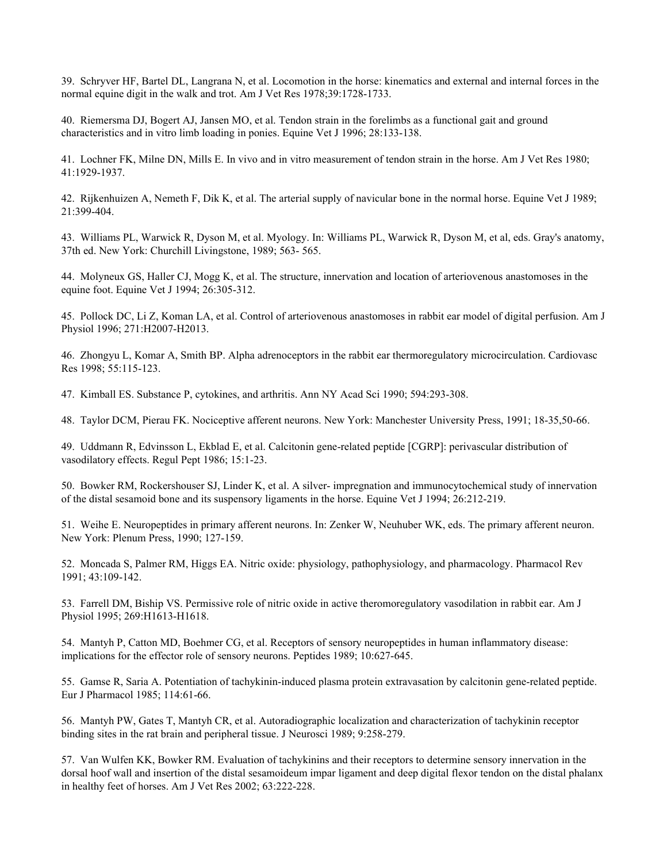39. Schryver HF, Bartel DL, Langrana N, et al. Locomotion in the horse: kinematics and external and internal forces in the normal equine digit in the walk and trot. Am J Vet Res 1978;39:1728-1733.

40. Riemersma DJ, Bogert AJ, Jansen MO, et al. Tendon strain in the forelimbs as a functional gait and ground characteristics and in vitro limb loading in ponies. Equine Vet J 1996; 28:133-138.

41. Lochner FK, Milne DN, Mills E. In vivo and in vitro measurement of tendon strain in the horse. Am J Vet Res 1980; 41:1929-1937.

42. Rijkenhuizen A, Nemeth F, Dik K, et al. The arterial supply of navicular bone in the normal horse. Equine Vet J 1989; 21:399-404.

43. Williams PL, Warwick R, Dyson M, et al. Myology. In: Williams PL, Warwick R, Dyson M, et al, eds. Gray's anatomy, 37th ed. New York: Churchill Livingstone, 1989; 563- 565.

44. Molyneux GS, Haller CJ, Mogg K, et al. The structure, innervation and location of arteriovenous anastomoses in the equine foot. Equine Vet J 1994; 26:305-312.

45. Pollock DC, Li Z, Koman LA, et al. Control of arteriovenous anastomoses in rabbit ear model of digital perfusion. Am J Physiol 1996; 271:H2007-H2013.

46. Zhongyu L, Komar A, Smith BP. Alpha adrenoceptors in the rabbit ear thermoregulatory microcirculation. Cardiovasc Res 1998; 55:115-123.

47. Kimball ES. Substance P, cytokines, and arthritis. Ann NY Acad Sci 1990; 594:293-308.

48. Taylor DCM, Pierau FK. Nociceptive afferent neurons. New York: Manchester University Press, 1991; 18-35,50-66.

49. Uddmann R, Edvinsson L, Ekblad E, et al. Calcitonin gene-related peptide [CGRP]: perivascular distribution of vasodilatory effects. Regul Pept 1986; 15:1-23.

50. Bowker RM, Rockershouser SJ, Linder K, et al. A silver- impregnation and immunocytochemical study of innervation of the distal sesamoid bone and its suspensory ligaments in the horse. Equine Vet J 1994; 26:212-219.

51. Weihe E. Neuropeptides in primary afferent neurons. In: Zenker W, Neuhuber WK, eds. The primary afferent neuron. New York: Plenum Press, 1990; 127-159.

52. Moncada S, Palmer RM, Higgs EA. Nitric oxide: physiology, pathophysiology, and pharmacology. Pharmacol Rev 1991; 43:109-142.

53. Farrell DM, Biship VS. Permissive role of nitric oxide in active theromoregulatory vasodilation in rabbit ear. Am J Physiol 1995; 269:H1613-H1618.

54. Mantyh P, Catton MD, Boehmer CG, et al. Receptors of sensory neuropeptides in human inflammatory disease: implications for the effector role of sensory neurons. Peptides 1989; 10:627-645.

55. Gamse R, Saria A. Potentiation of tachykinin-induced plasma protein extravasation by calcitonin gene-related peptide. Eur J Pharmacol 1985; 114:61-66.

56. Mantyh PW, Gates T, Mantyh CR, et al. Autoradiographic localization and characterization of tachykinin receptor binding sites in the rat brain and peripheral tissue. J Neurosci 1989; 9:258-279.

57. Van Wulfen KK, Bowker RM. Evaluation of tachykinins and their receptors to determine sensory innervation in the dorsal hoof wall and insertion of the distal sesamoideum impar ligament and deep digital flexor tendon on the distal phalanx in healthy feet of horses. Am J Vet Res 2002; 63:222-228.